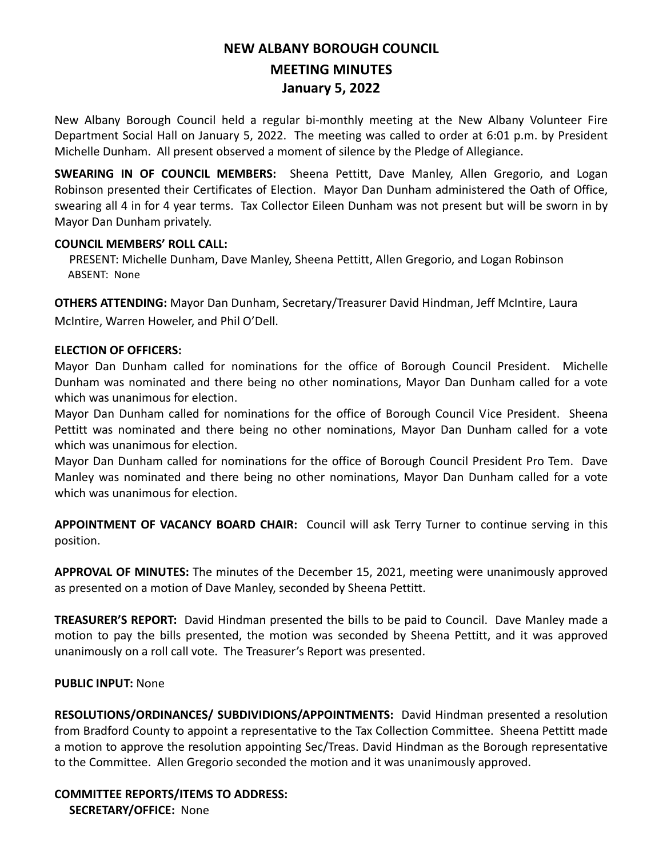# **NEW ALBANY BOROUGH COUNCIL MEETING MINUTES January 5, 2022**

New Albany Borough Council held a regular bi-monthly meeting at the New Albany Volunteer Fire Department Social Hall on January 5, 2022. The meeting was called to order at 6:01 p.m. by President Michelle Dunham. All present observed a moment of silence by the Pledge of Allegiance.

**SWEARING IN OF COUNCIL MEMBERS:** Sheena Pettitt, Dave Manley, Allen Gregorio, and Logan Robinson presented their Certificates of Election. Mayor Dan Dunham administered the Oath of Office, swearing all 4 in for 4 year terms. Tax Collector Eileen Dunham was not present but will be sworn in by Mayor Dan Dunham privately.

### **COUNCIL MEMBERS' ROLL CALL:**

PRESENT: Michelle Dunham, Dave Manley, Sheena Pettitt, Allen Gregorio, and Logan Robinson ABSENT: None

**OTHERS ATTENDING:** Mayor Dan Dunham, Secretary/Treasurer David Hindman, Jeff McIntire, Laura McIntire, Warren Howeler, and Phil O'Dell.

# **ELECTION OF OFFICERS:**

Mayor Dan Dunham called for nominations for the office of Borough Council President. Michelle Dunham was nominated and there being no other nominations, Mayor Dan Dunham called for a vote which was unanimous for election.

Mayor Dan Dunham called for nominations for the office of Borough Council Vice President. Sheena Pettitt was nominated and there being no other nominations, Mayor Dan Dunham called for a vote which was unanimous for election.

Mayor Dan Dunham called for nominations for the office of Borough Council President Pro Tem. Dave Manley was nominated and there being no other nominations, Mayor Dan Dunham called for a vote which was unanimous for election.

**APPOINTMENT OF VACANCY BOARD CHAIR:** Council will ask Terry Turner to continue serving in this position.

**APPROVAL OF MINUTES:** The minutes of the December 15, 2021, meeting were unanimously approved as presented on a motion of Dave Manley, seconded by Sheena Pettitt.

**TREASURER'S REPORT:** David Hindman presented the bills to be paid to Council. Dave Manley made a motion to pay the bills presented, the motion was seconded by Sheena Pettitt, and it was approved unanimously on a roll call vote. The Treasurer's Report was presented.

# **PUBLIC INPUT:** None

**RESOLUTIONS/ORDINANCES/ SUBDIVIDIONS/APPOINTMENTS:** David Hindman presented a resolution from Bradford County to appoint a representative to the Tax Collection Committee. Sheena Pettitt made a motion to approve the resolution appointing Sec/Treas. David Hindman as the Borough representative to the Committee. Allen Gregorio seconded the motion and it was unanimously approved.

**COMMITTEE REPORTS/ITEMS TO ADDRESS: SECRETARY/OFFICE:**None